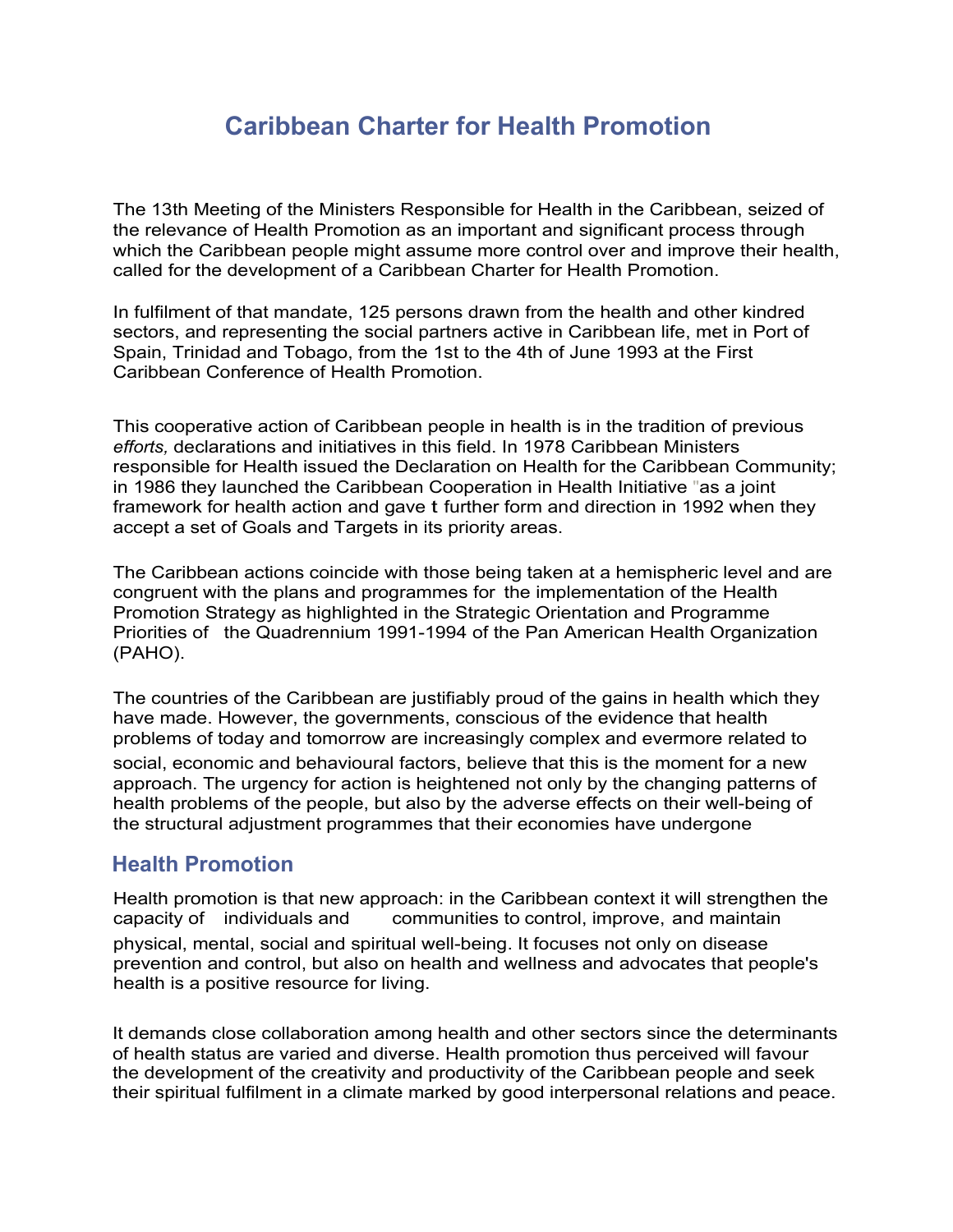# Caribbean Charter for Health Promotion

The 13th Meeting of the Ministers Responsible for Health in the Caribbean, seized of the relevance of Health Promotion as an important and significant process through which the Caribbean people might assume more control over and improve their health, called for the development of a Caribbean Charter for Health Promotion.

In fulfilment of that mandate, 125 persons drawn from the health and other kindred sectors, and representing the social partners active in Caribbean life, met in Port of Spain, Trinidad and Tobago, from the 1st to the 4th of June 1993 at the First Caribbean Conference of Health Promotion.

This cooperative action of Caribbean people in health is in the tradition of previous *efforts,* declarations and initiatives in this field. In 1978 Caribbean Ministers responsible for Health issued the Declaration on Health for the Caribbean Community; in 1986 they launched the Caribbean Cooperation in Health Initiative "as a joint framework for health action and gave t further form and direction in 1992 when they accept a set of Goals and Targets in its priority areas.

The Caribbean actions coincide with those being taken at a hemispheric level and are congruent with the plans and programmes for the implementation of the Health Promotion Strategy as highlighted in the Strategic Orientation and Programme Priorities of the Quadrennium 1991-1994 of the Pan American Health Organization (PAHO).

The countries of the Caribbean are justifiably proud of the gains in health which they have made. However, the governments, conscious of the evidence that health problems of today and tomorrow are increasingly complex and evermore related to

social, economic and behavioural factors, believe that this is the moment for a new approach. The urgency for action is heightened not only by the changing patterns of health problems of the people, but also by the adverse effects on their well-being of the structural adjustment programmes that their economies have undergone

#### Health Promotion

Health promotion is that new approach: in the Caribbean context it will strengthen the capacity of individuals and communities to control, improve, and maintain physical, mental, social and spiritual well-being. It focuses not only on disease prevention and control, but also on health and wellness and advocates that people's health is a positive resource for living.

It demands close collaboration among health and other sectors since the determinants of health status are varied and diverse. Health promotion thus perceived will favour the development of the creativity and productivity of the Caribbean people and seek their spiritual fulfilment in a climate marked by good interpersonal relations and peace.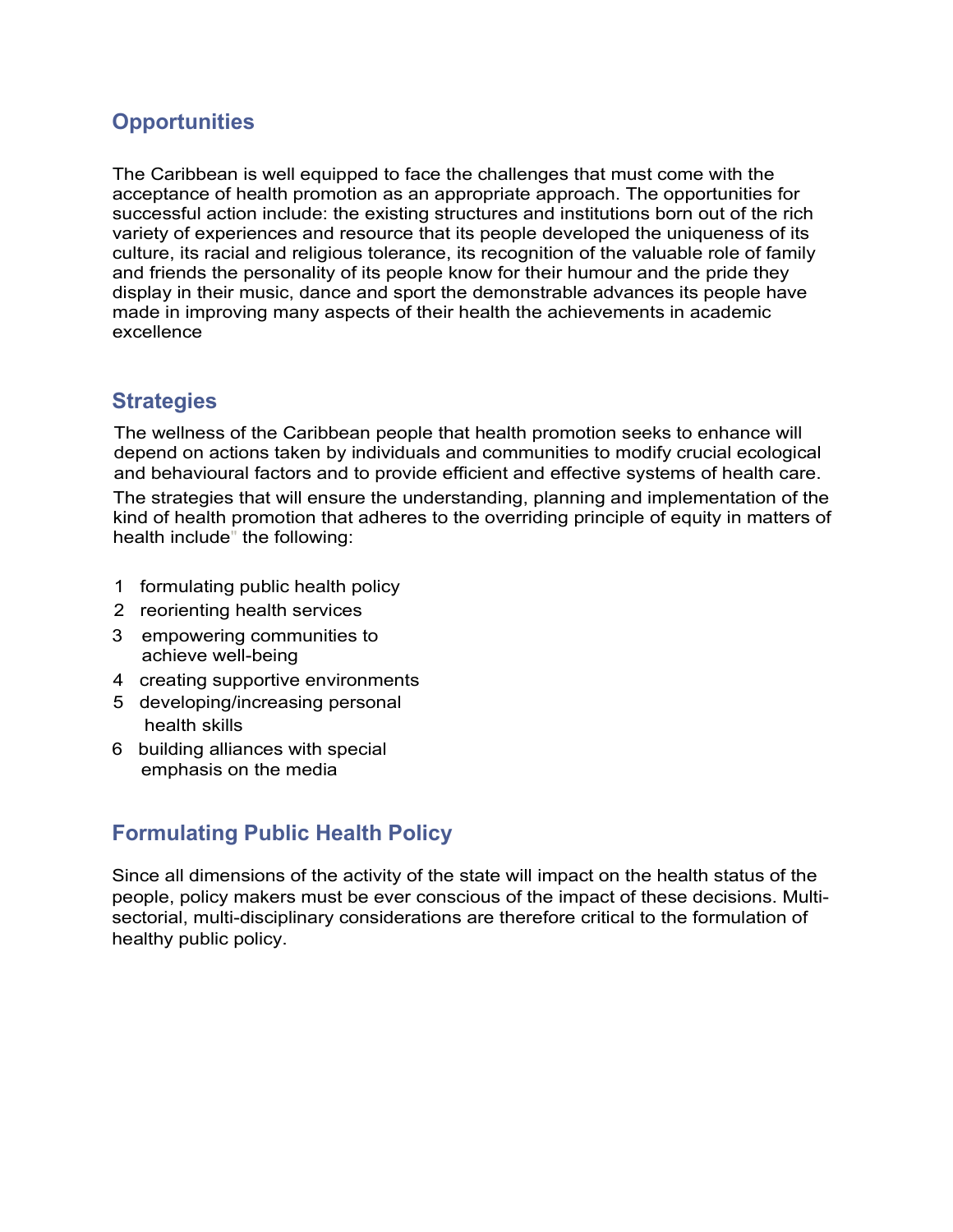## **Opportunities**

The Caribbean is well equipped to face the challenges that must come with the acceptance of health promotion as an appropriate approach. The opportunities for successful action include: the existing structures and institutions born out of the rich variety of experiences and resource that its people developed the uniqueness of its culture, its racial and religious tolerance, its recognition of the valuable role of family and friends the personality of its people know for their humour and the pride they display in their music, dance and sport the demonstrable advances its people have made in improving many aspects of their health the achievements in academic excellence

### **Strategies**

The wellness of the Caribbean people that health promotion seeks to enhance will depend on actions taken by individuals and communities to modify crucial ecological and behavioural factors and to provide efficient and effective systems of health care.

The strategies that will ensure the understanding, planning and implementation of the kind of health promotion that adheres to the overriding principle of equity in matters of health include" the following:

- 1 formulating public health policy
- 2 reorienting health services
- 3 empowering communities to achieve well-being
- 4 creating supportive environments
- 5 developing/increasing personal health skills
- 6 building alliances with special emphasis on the media

# Formulating Public Health Policy

Since all dimensions of the activity of the state will impact on the health status of the people, policy makers must be ever conscious of the impact of these decisions. Multisectorial, multi-disciplinary considerations are therefore critical to the formulation of healthy public policy.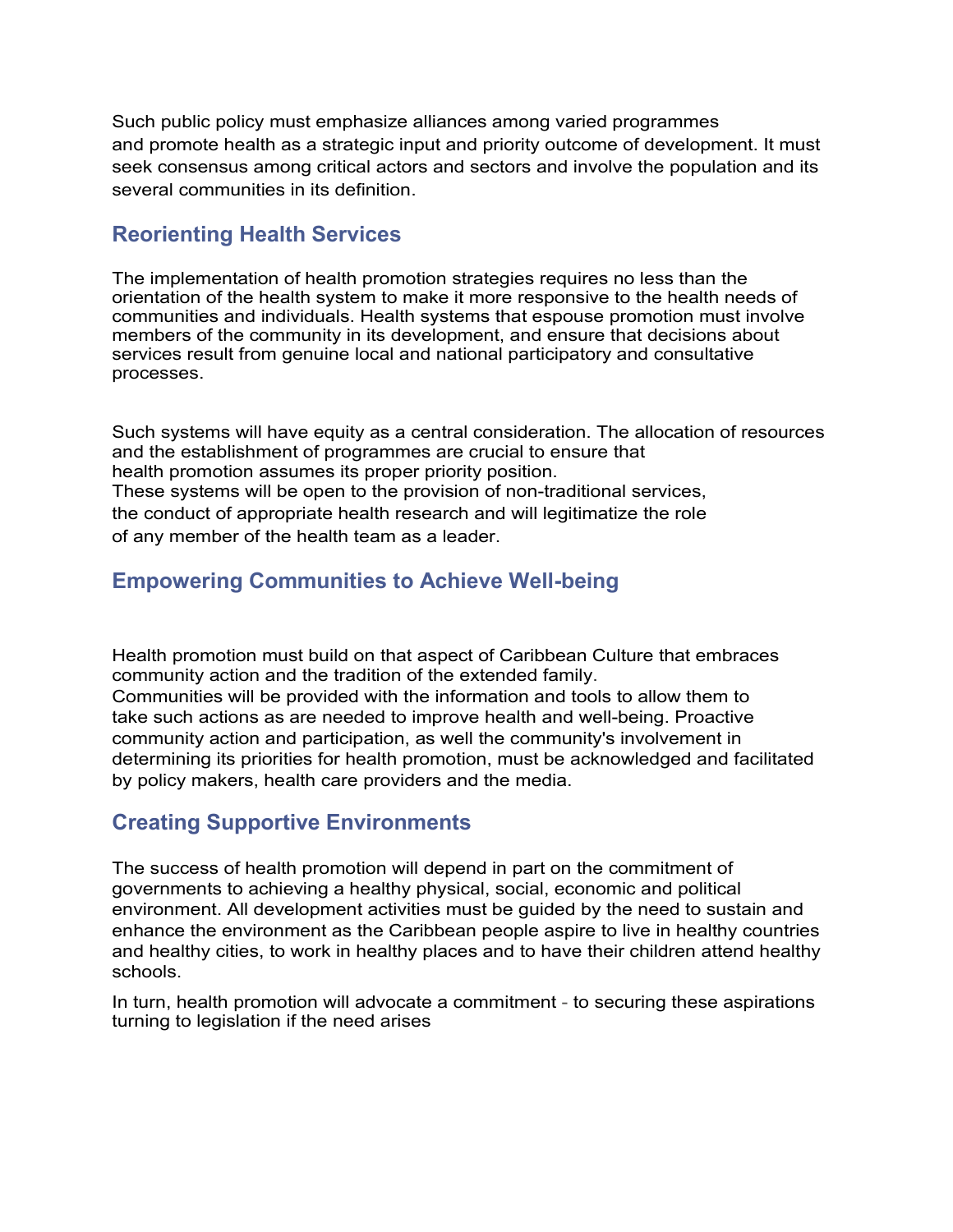Such public policy must emphasize alliances among varied programmes and promote health as a strategic input and priority outcome of development. It must seek consensus among critical actors and sectors and involve the population and its several communities in its definition.

#### Reorienting Health Services

The implementation of health promotion strategies requires no less than the orientation of the health system to make it more responsive to the health needs of communities and individuals. Health systems that espouse promotion must involve members of the community in its development, and ensure that decisions about services result from genuine local and national participatory and consultative processes.

Such systems will have equity as a central consideration. The allocation of resources and the establishment of programmes are crucial to ensure that health promotion assumes its proper priority position. These systems will be open to the provision of non-traditional services, the conduct of appropriate health research and will legitimatize the role of any member of the health team as a leader.

## Empowering Communities to Achieve Well-being

Health promotion must build on that aspect of Caribbean Culture that embraces community action and the tradition of the extended family. Communities will be provided with the information and tools to allow them to take such actions as are needed to improve health and well-being. Proactive community action and participation, as well the community's involvement in determining its priorities for health promotion, must be acknowledged and facilitated by policy makers, health care providers and the media.

### Creating Supportive Environments

The success of health promotion will depend in part on the commitment of governments to achieving a healthy physical, social, economic and political environment. All development activities must be guided by the need to sustain and enhance the environment as the Caribbean people aspire to live in healthy countries and healthy cities, to work in healthy places and to have their children attend healthy schools.

In turn, health promotion will advocate a commitment - to securing these aspirations turning to legislation if the need arises